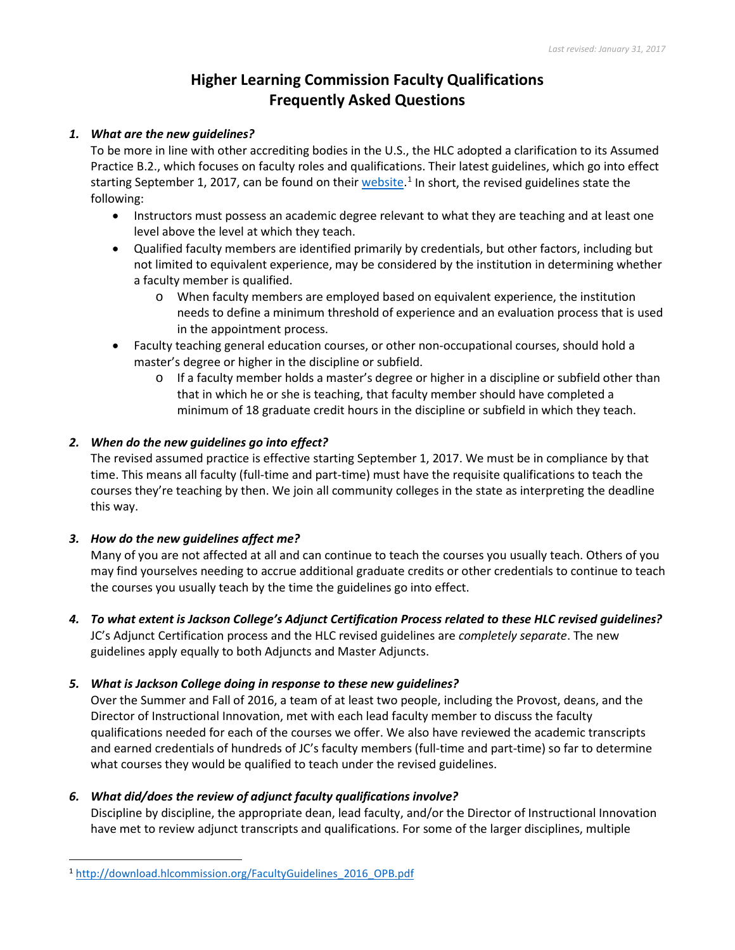# **Higher Learning Commission Faculty Qualifications Frequently Asked Questions**

#### *1. What are the new guidelines?*

To be more in line with other accrediting bodies in the U.S., the HLC adopted a clarification to its Assumed Practice B.2., which focuses on faculty roles and qualifications. Their latest guidelines, which go into effect starting September [1](#page-0-0), 2017, can be found on their *website*.<sup>1</sup> In short, the revised guidelines state the following:

- Instructors must possess an academic degree relevant to what they are teaching and at least one level above the level at which they teach.
- Qualified faculty members are identified primarily by credentials, but other factors, including but not limited to equivalent experience, may be considered by the institution in determining whether a faculty member is qualified.
	- o When faculty members are employed based on equivalent experience, the institution needs to define a minimum threshold of experience and an evaluation process that is used in the appointment process.
- Faculty teaching general education courses, or other non-occupational courses, should hold a master's degree or higher in the discipline or subfield.
	- $\circ$  If a faculty member holds a master's degree or higher in a discipline or subfield other than that in which he or she is teaching, that faculty member should have completed a minimum of 18 graduate credit hours in the discipline or subfield in which they teach.

### *2. When do the new guidelines go into effect?*

The revised assumed practice is effective starting September 1, 2017. We must be in compliance by that time. This means all faculty (full-time and part-time) must have the requisite qualifications to teach the courses they're teaching by then. We join all community colleges in the state as interpreting the deadline this way.

### *3. How do the new guidelines affect me?*

Many of you are not affected at all and can continue to teach the courses you usually teach. Others of you may find yourselves needing to accrue additional graduate credits or other credentials to continue to teach the courses you usually teach by the time the guidelines go into effect.

*4. To what extent is Jackson College's Adjunct Certification Process related to these HLC revised guidelines?* JC's Adjunct Certification process and the HLC revised guidelines are *completely separate*. The new guidelines apply equally to both Adjuncts and Master Adjuncts.

### *5. What is Jackson College doing in response to these new guidelines?*

Over the Summer and Fall of 2016, a team of at least two people, including the Provost, deans, and the Director of Instructional Innovation, met with each lead faculty member to discuss the faculty qualifications needed for each of the courses we offer. We also have reviewed the academic transcripts and earned credentials of hundreds of JC's faculty members (full-time and part-time) so far to determine what courses they would be qualified to teach under the revised guidelines.

### *6. What did/does the review of adjunct faculty qualifications involve?*

Discipline by discipline, the appropriate dean, lead faculty, and/or the Director of Instructional Innovation have met to review adjunct transcripts and qualifications. For some of the larger disciplines, multiple

<span id="page-0-0"></span> <sup>1</sup> [http://download.hlcommission.org/FacultyGuidelines\\_2016\\_OPB.pdf](http://download.hlcommission.org/FacultyGuidelines_2016_OPB.pdf)